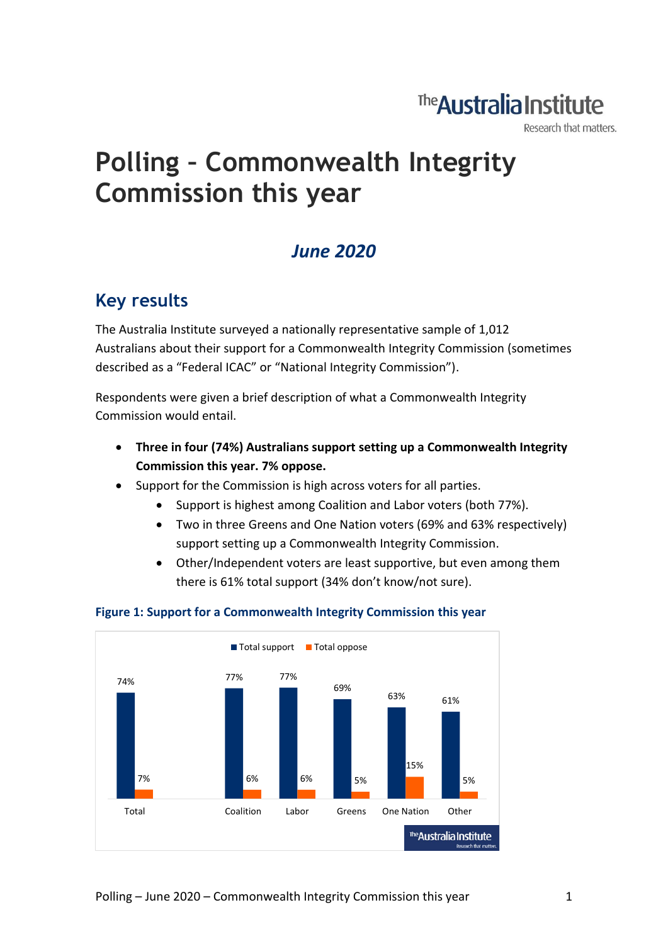## The **Australia Institute**

Research that matters.

# **Polling – Commonwealth Integrity Commission this year**

### *June 2020*

### **Key results**

The Australia Institute surveyed a nationally representative sample of 1,012 Australians about their support for a Commonwealth Integrity Commission (sometimes described as a "Federal ICAC" or "National Integrity Commission").

Respondents were given a brief description of what a Commonwealth Integrity Commission would entail.

- **Three in four (74%) Australians support setting up a Commonwealth Integrity Commission this year. 7% oppose.**
- Support for the Commission is high across voters for all parties.
	- Support is highest among Coalition and Labor voters (both 77%).
	- Two in three Greens and One Nation voters (69% and 63% respectively) support setting up a Commonwealth Integrity Commission.
	- Other/Independent voters are least supportive, but even among them there is 61% total support (34% don't know/not sure).



#### **Figure 1: Support for a Commonwealth Integrity Commission this year**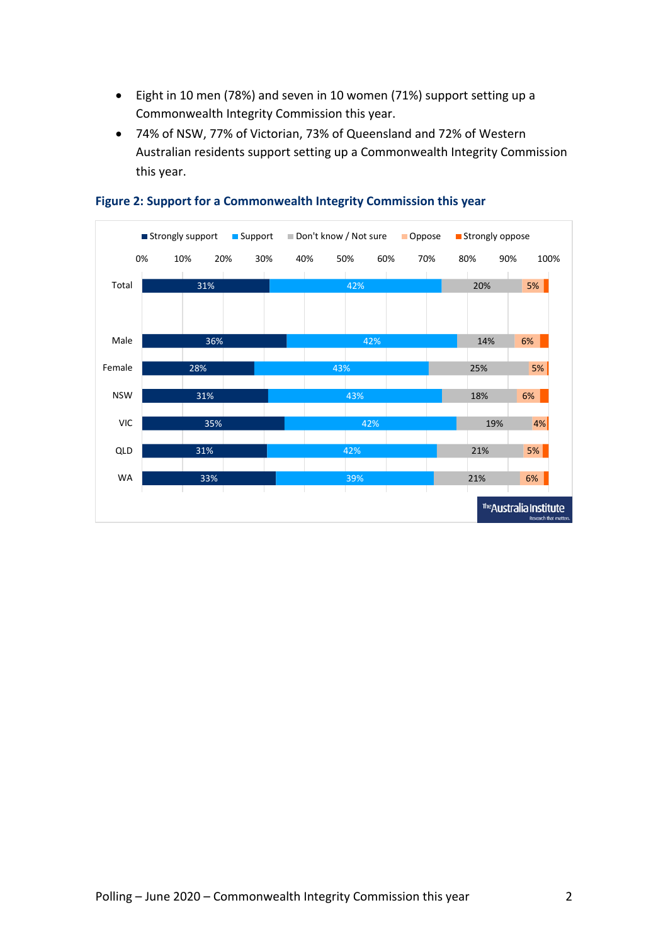- Eight in 10 men (78%) and seven in 10 women (71%) support setting up a Commonwealth Integrity Commission this year.
- 74% of NSW, 77% of Victorian, 73% of Queensland and 72% of Western Australian residents support setting up a Commonwealth Integrity Commission this year.



#### **Figure 2: Support for a Commonwealth Integrity Commission this year**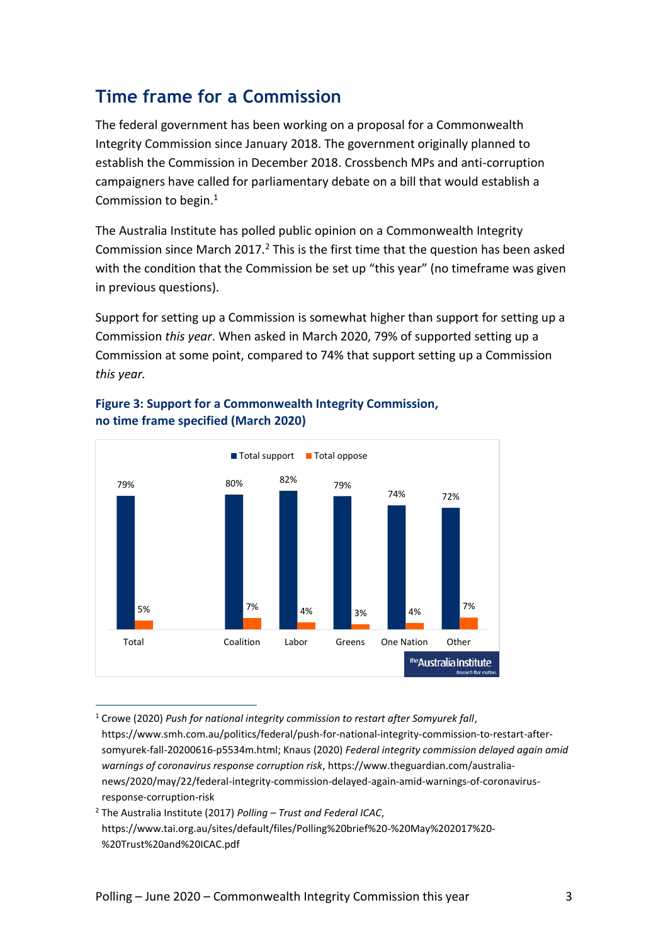### **Time frame for a Commission**

The federal government has been working on a proposal for a Commonwealth Integrity Commission since January 2018. The government originally planned to establish the Commission in December 2018. Crossbench MPs and anti-corruption campaigners have called for parliamentary debate on a bill that would establish a Commission to begin.<sup>1</sup>

The Australia Institute has polled public opinion on a Commonwealth Integrity Commission since March 2017. $^2$  This is the first time that the question has been asked with the condition that the Commission be set up "this year" (no timeframe was given in previous questions).

Support for setting up a Commission is somewhat higher than support for setting up a Commission *this year*. When asked in March 2020, 79% of supported setting up a Commission at some point, compared to 74% that support setting up a Commission *this year.* 



#### **Figure 3: Support for a Commonwealth Integrity Commission, no time frame specified (March 2020)**

<sup>1</sup> Crowe (2020) *Push for national integrity commission to restart after Somyurek fall*, https://www.smh.com.au/politics/federal/push-for-national-integrity-commission-to-restart-aftersomyurek-fall-20200616-p5534m.html; Knaus (2020) *Federal integrity commission delayed again amid warnings of coronavirus response corruption risk*, https://www.theguardian.com/australianews/2020/may/22/federal-integrity-commission-delayed-again-amid-warnings-of-coronavirusresponse-corruption-risk

<sup>2</sup> The Australia Institute (2017) *Polling – Trust and Federal ICAC*, https://www.tai.org.au/sites/default/files/Polling%20brief%20-%20May%202017%20- %20Trust%20and%20ICAC.pdf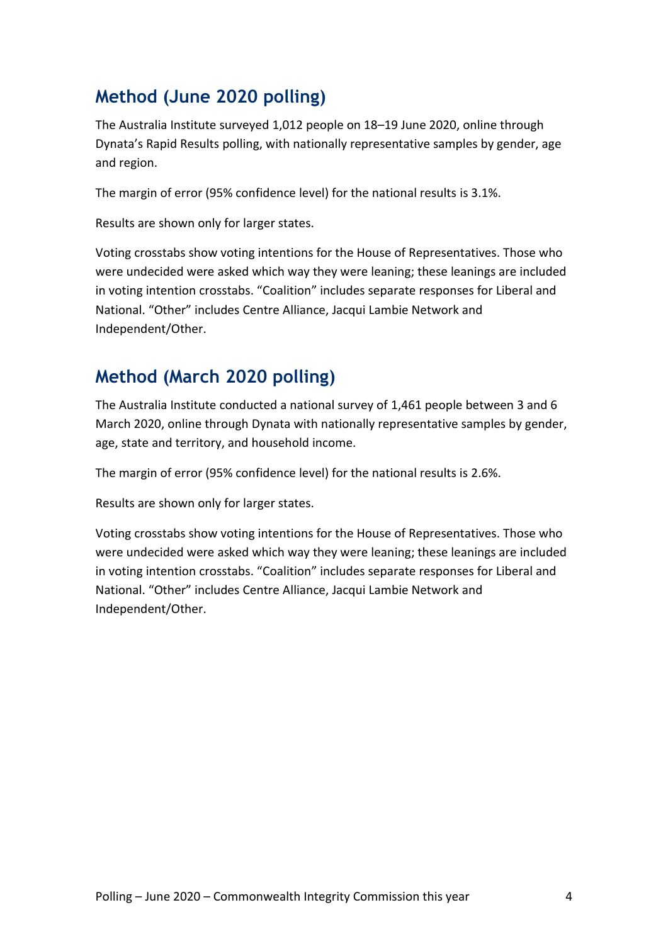### **Method (June 2020 polling)**

The Australia Institute surveyed 1,012 people on 18–19 June 2020, online through Dynata's Rapid Results polling, with nationally representative samples by gender, age and region.

The margin of error (95% confidence level) for the national results is 3.1%.

Results are shown only for larger states.

Voting crosstabs show voting intentions for the House of Representatives. Those who were undecided were asked which way they were leaning; these leanings are included in voting intention crosstabs. "Coalition" includes separate responses for Liberal and National. "Other" includes Centre Alliance, Jacqui Lambie Network and Independent/Other.

### **Method (March 2020 polling)**

The Australia Institute conducted a national survey of 1,461 people between 3 and 6 March 2020, online through Dynata with nationally representative samples by gender, age, state and territory, and household income.

The margin of error (95% confidence level) for the national results is 2.6%.

Results are shown only for larger states.

Voting crosstabs show voting intentions for the House of Representatives. Those who were undecided were asked which way they were leaning; these leanings are included in voting intention crosstabs. "Coalition" includes separate responses for Liberal and National. "Other" includes Centre Alliance, Jacqui Lambie Network and Independent/Other.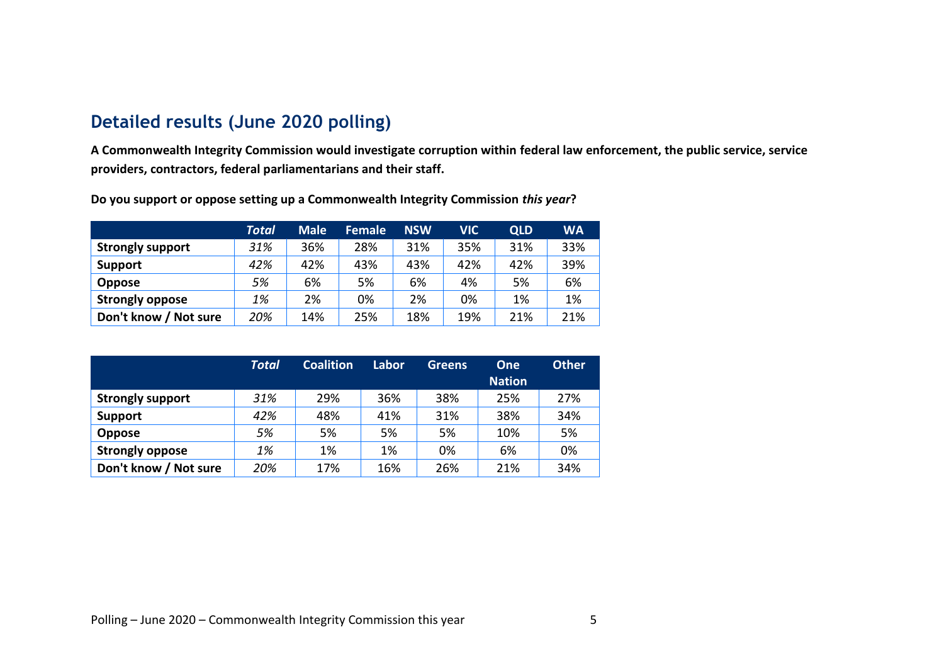#### **Detailed results (June 2020 polling)**

**A Commonwealth Integrity Commission would investigate corruption within federal law enforcement, the public service, service providers, contractors, federal parliamentarians and their staff.**

|                         | <b>Total</b> | <b>Male</b> | <b>Female</b> | <b>NSW</b> | VIC | <b>QLD</b> | <b>WA</b> |
|-------------------------|--------------|-------------|---------------|------------|-----|------------|-----------|
| <b>Strongly support</b> | 31%          | 36%         | 28%           | 31%        | 35% | 31%        | 33%       |
| Support                 | 42%          | 42%         | 43%           | 43%        | 42% | 42%        | 39%       |
| <b>Oppose</b>           | 5%           | 6%          | 5%            | 6%         | 4%  | 5%         | 6%        |
| <b>Strongly oppose</b>  | 1%           | 2%          | 0%            | 2%         | 0%  | 1%         | 1%        |
| Don't know / Not sure   | 20%          | 14%         | 25%           | 18%        | 19% | 21%        | 21%       |

**Do you support or oppose setting up a Commonwealth Integrity Commission** *this year***?**

|                         | <b>Total</b> | <b>Coalition</b> | Labor | <b>Greens</b> | <b>One</b>    | <b>Other</b> |
|-------------------------|--------------|------------------|-------|---------------|---------------|--------------|
|                         |              |                  |       |               | <b>Nation</b> |              |
| <b>Strongly support</b> | 31%          | 29%              | 36%   | 38%           | 25%           | 27%          |
| Support                 | 42%          | 48%              | 41%   | 31%           | 38%           | 34%          |
| <b>Oppose</b>           | 5%           | 5%               | 5%    | 5%            | 10%           | 5%           |
| <b>Strongly oppose</b>  | 1%           | 1%               | 1%    | 0%            | 6%            | 0%           |
| Don't know / Not sure   | 20%          | 17%              | 16%   | 26%           | 21%           | 34%          |